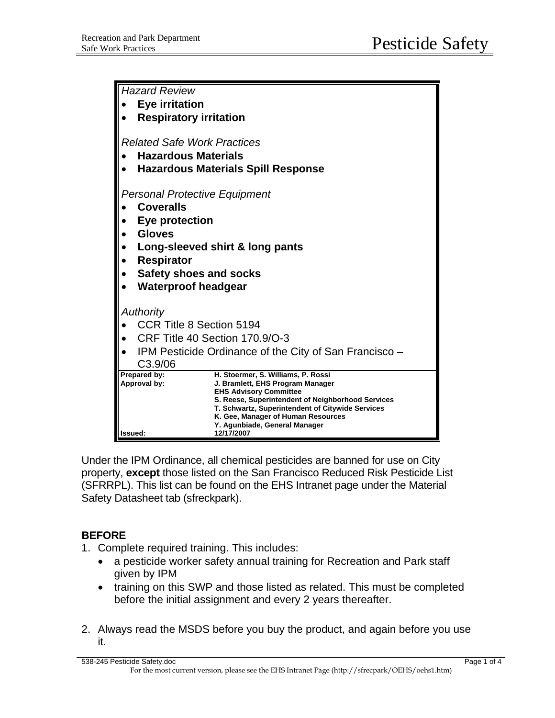| Hazard Review                             |                                                                                        |
|-------------------------------------------|----------------------------------------------------------------------------------------|
| <b>Eye irritation</b>                     |                                                                                        |
| <b>Respiratory irritation</b>             |                                                                                        |
| <b>Related Safe Work Practices</b>        |                                                                                        |
| <b>Hazardous Materials</b>                |                                                                                        |
| <b>Hazardous Materials Spill Response</b> |                                                                                        |
|                                           |                                                                                        |
| <b>Personal Protective Equipment</b>      |                                                                                        |
| <b>Coveralls</b>                          |                                                                                        |
| Eye protection                            |                                                                                        |
| <b>Gloves</b>                             |                                                                                        |
| Long-sleeved shirt & long pants           |                                                                                        |
| <b>Respirator</b>                         |                                                                                        |
| <b>Safety shoes and socks</b>             |                                                                                        |
| <b>Waterproof headgear</b>                |                                                                                        |
|                                           |                                                                                        |
| <b>Authority</b>                          |                                                                                        |
| CCR Title 8 Section 5194                  |                                                                                        |
| CRF Title 40 Section 170.9/O-3            |                                                                                        |
| C <sub>3.9</sub> /06                      | IPM Pesticide Ordinance of the City of San Francisco -                                 |
| Prepared by:                              | H. Stoermer, S. Williams, P. Rossi                                                     |
| Approval by:                              | J. Bramlett, EHS Program Manager                                                       |
|                                           | <b>EHS Advisory Committee</b><br>S. Reese, Superintendent of Neighborhood Services     |
|                                           | T. Schwartz, Superintendent of Citywide Services<br>K. Gee, Manager of Human Resources |
|                                           | Y. Agunbiade, General Manager                                                          |
| Issued:                                   | 12/17/2007                                                                             |

Under the IPM Ordinance, all chemical pesticides are banned for use on City property, **except** those listed on the San Francisco Reduced Risk Pesticide List (SFRRPL). This list can be found on the EHS Intranet page under the Material Safety Datasheet tab (sfreckpark).

## **BEFORE**

- 1. Complete required training. This includes:
	- a pesticide worker safety annual training for Recreation and Park staff given by IPM
	- training on this SWP and those listed as related. This must be completed before the initial assignment and every 2 years thereafter.
- 2. Always read the MSDS before you buy the product, and again before you use it.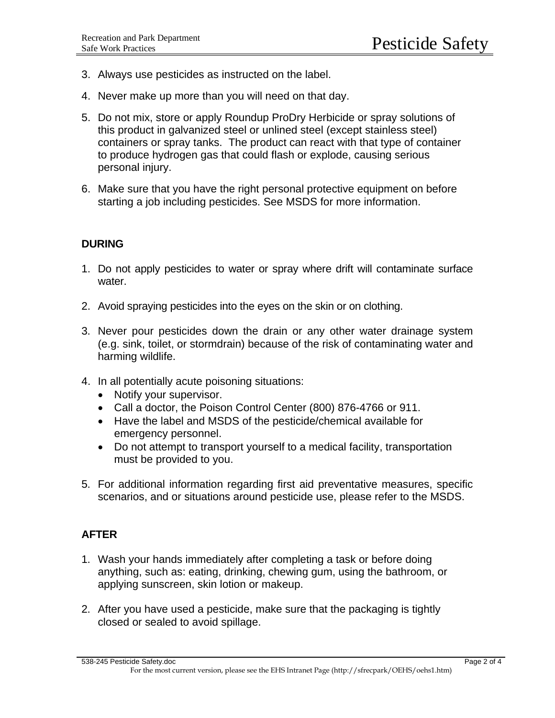- 3. Always use pesticides as instructed on the label.
- 4. Never make up more than you will need on that day.
- 5. Do not mix, store or apply Roundup ProDry Herbicide or spray solutions of this product in galvanized steel or unlined steel (except stainless steel) containers or spray tanks. The product can react with that type of container to produce hydrogen gas that could flash or explode, causing serious personal injury.
- 6. Make sure that you have the right personal protective equipment on before starting a job including pesticides. See MSDS for more information.

## **DURING**

- 1. Do not apply pesticides to water or spray where drift will contaminate surface water.
- 2. Avoid spraying pesticides into the eyes on the skin or on clothing.
- 3. Never pour pesticides down the drain or any other water drainage system (e.g. sink, toilet, or stormdrain) because of the risk of contaminating water and harming wildlife.
- 4. In all potentially acute poisoning situations:
	- Notify your supervisor.
	- Call a doctor, the Poison Control Center (800) 876-4766 or 911.
	- Have the label and MSDS of the pesticide/chemical available for emergency personnel.
	- Do not attempt to transport yourself to a medical facility, transportation must be provided to you.
- 5. For additional information regarding first aid preventative measures, specific scenarios, and or situations around pesticide use, please refer to the MSDS.

## **AFTER**

- 1. Wash your hands immediately after completing a task or before doing anything, such as: eating, drinking, chewing gum, using the bathroom, or applying sunscreen, skin lotion or makeup.
- 2. After you have used a pesticide, make sure that the packaging is tightly closed or sealed to avoid spillage.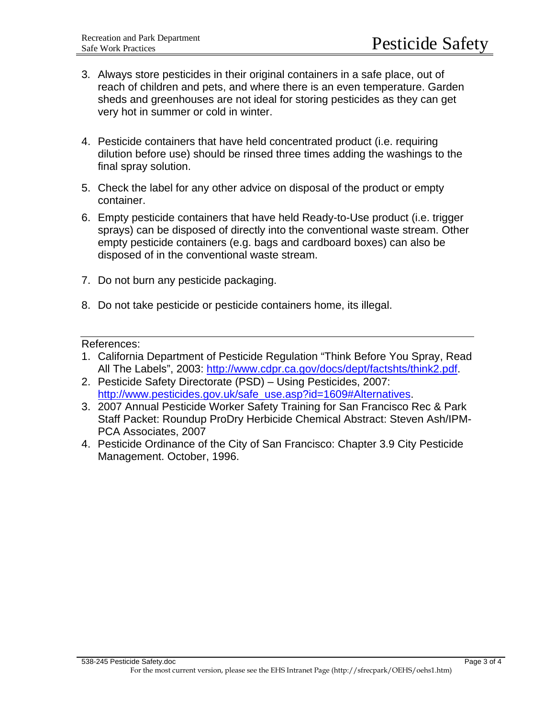- 3. Always store pesticides in their original containers in a safe place, out of reach of children and pets, and where there is an even temperature. Garden sheds and greenhouses are not ideal for storing pesticides as they can get very hot in summer or cold in winter.
- 4. Pesticide containers that have held concentrated product (i.e. requiring dilution before use) should be rinsed three times adding the washings to the final spray solution.
- 5. Check the label for any other advice on disposal of the product or empty container.
- 6. Empty pesticide containers that have held Ready-to-Use product (i.e. trigger sprays) can be disposed of directly into the conventional waste stream. Other empty pesticide containers (e.g. bags and cardboard boxes) can also be disposed of in the conventional waste stream.
- 7. Do not burn any pesticide packaging.
- 8. Do not take pesticide or pesticide containers home, its illegal.

References:

- 1. California Department of Pesticide Regulation "Think Before You Spray, Read All The Labels", 2003: [http://www.cdpr.ca.gov/docs/dept/factshts/think2.pdf.](http://www.cdpr.ca.gov/docs/dept/factshts/think2.pdf)
- 2. Pesticide Safety Directorate (PSD) Using Pesticides, 2007: [http://www.pesticides.gov.uk/safe\\_use.asp?id=1609#Alternatives](http://www.pesticides.gov.uk/safe_use.asp?id=1609#Alternatives).
- 3. 2007 Annual Pesticide Worker Safety Training for San Francisco Rec & Park Staff Packet: Roundup ProDry Herbicide Chemical Abstract: Steven Ash/IPM-PCA Associates, 2007
- 4. Pesticide Ordinance of the City of San Francisco: Chapter 3.9 City Pesticide Management. October, 1996.